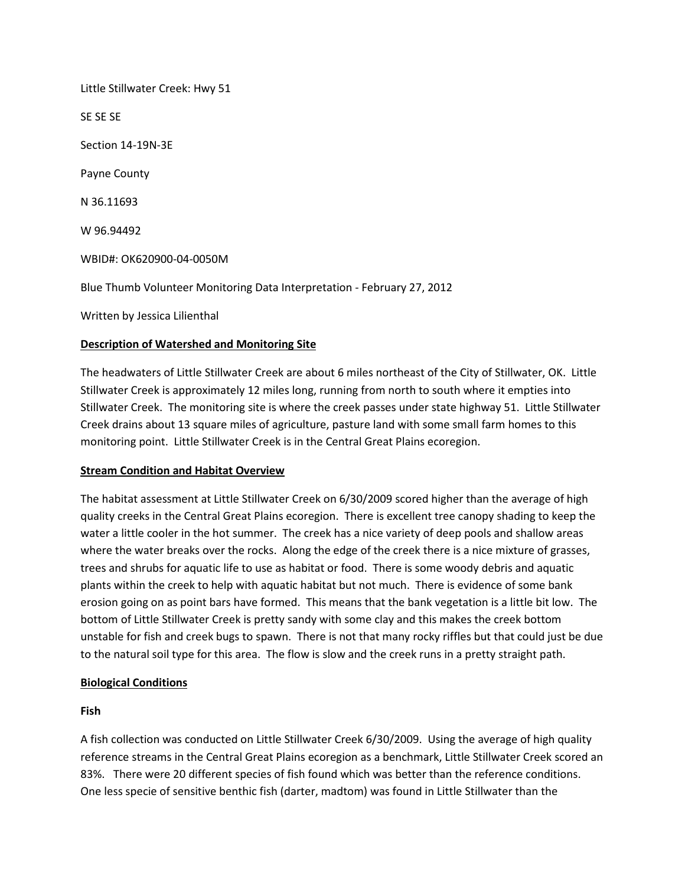Little Stillwater Creek: Hwy 51 SE SE SE Section 14-19N-3E Payne County N 36.11693 W 96.94492 WBID#: OK620900-04-0050M Blue Thumb Volunteer Monitoring Data Interpretation - February 27, 2012 Written by Jessica Lilienthal

# **Description of Watershed and Monitoring Site**

The headwaters of Little Stillwater Creek are about 6 miles northeast of the City of Stillwater, OK. Little Stillwater Creek is approximately 12 miles long, running from north to south where it empties into Stillwater Creek. The monitoring site is where the creek passes under state highway 51. Little Stillwater Creek drains about 13 square miles of agriculture, pasture land with some small farm homes to this monitoring point. Little Stillwater Creek is in the Central Great Plains ecoregion.

## **Stream Condition and Habitat Overview**

The habitat assessment at Little Stillwater Creek on 6/30/2009 scored higher than the average of high quality creeks in the Central Great Plains ecoregion. There is excellent tree canopy shading to keep the water a little cooler in the hot summer. The creek has a nice variety of deep pools and shallow areas where the water breaks over the rocks. Along the edge of the creek there is a nice mixture of grasses, trees and shrubs for aquatic life to use as habitat or food. There is some woody debris and aquatic plants within the creek to help with aquatic habitat but not much. There is evidence of some bank erosion going on as point bars have formed. This means that the bank vegetation is a little bit low. The bottom of Little Stillwater Creek is pretty sandy with some clay and this makes the creek bottom unstable for fish and creek bugs to spawn. There is not that many rocky riffles but that could just be due to the natural soil type for this area. The flow is slow and the creek runs in a pretty straight path.

## **Biological Conditions**

## **Fish**

A fish collection was conducted on Little Stillwater Creek 6/30/2009. Using the average of high quality reference streams in the Central Great Plains ecoregion as a benchmark, Little Stillwater Creek scored an 83%. There were 20 different species of fish found which was better than the reference conditions. One less specie of sensitive benthic fish (darter, madtom) was found in Little Stillwater than the